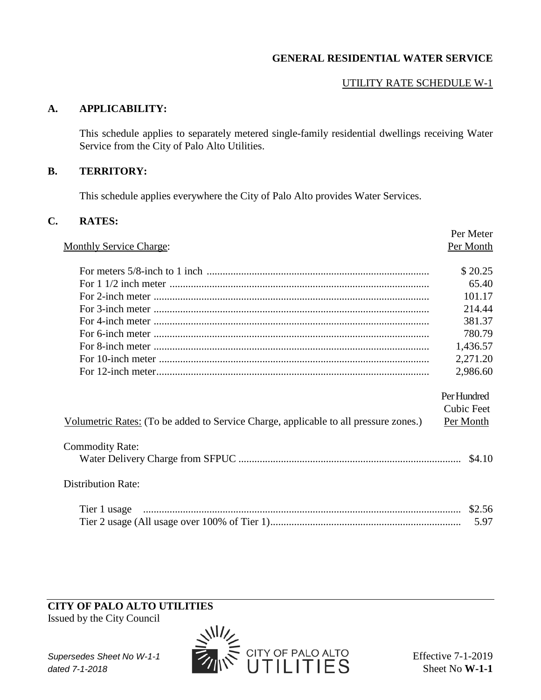# **GENERAL RESIDENTIAL WATER SERVICE**

# UTILITY RATE SCHEDULE W-1

## **A. APPLICABILITY:**

This schedule applies to separately metered single-family residential dwellings receiving Water Service from the City of Palo Alto Utilities.

#### **B. TERRITORY:**

This schedule applies everywhere the City of Palo Alto provides Water Services.

#### **C. RATES:**

|                                                                                      | Per Meter         |
|--------------------------------------------------------------------------------------|-------------------|
| <b>Monthly Service Charge:</b>                                                       | Per Month         |
|                                                                                      |                   |
|                                                                                      | \$20.25           |
|                                                                                      | 65.40             |
|                                                                                      | 101.17            |
|                                                                                      | 214.44            |
|                                                                                      | 381.37            |
|                                                                                      | 780.79            |
|                                                                                      | 1,436.57          |
|                                                                                      | 2,271.20          |
|                                                                                      | 2,986.60          |
|                                                                                      |                   |
|                                                                                      | Per Hundred       |
|                                                                                      | <b>Cubic Feet</b> |
| Volumetric Rates: (To be added to Service Charge, applicable to all pressure zones.) | Per Month         |
| <b>Commodity Rate:</b>                                                               |                   |
|                                                                                      | \$4.10            |
|                                                                                      |                   |
| <b>Distribution Rate:</b>                                                            |                   |
|                                                                                      |                   |
|                                                                                      |                   |
|                                                                                      | 5.97              |

## **CITY OF PALO ALTO UTILITIES**

Issued by the City Council

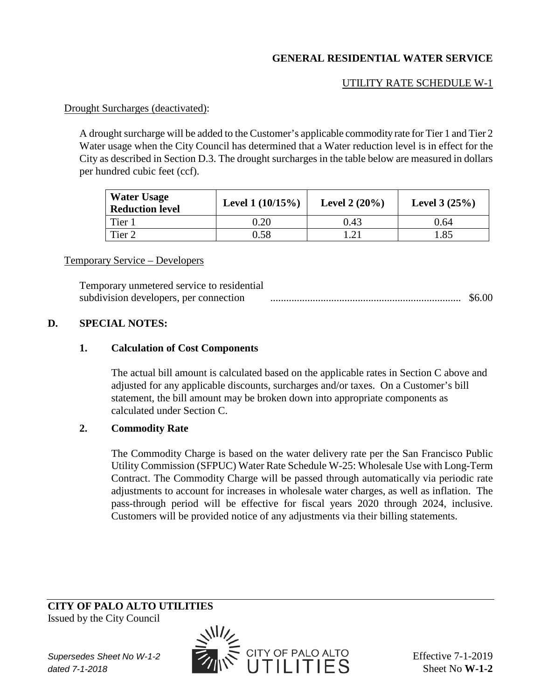# **GENERAL RESIDENTIAL WATER SERVICE**

# UTILITY RATE SCHEDULE W-1

#### Drought Surcharges (deactivated):

A drought surcharge will be added to the Customer's applicable commodity rate for Tier 1 and Tier 2 Water usage when the City Council has determined that a Water reduction level is in effect for the City as described in Section D.3. The drought surcharges in the table below are measured in dollars per hundred cubic feet (ccf).

| <b>Water Usage</b><br><b>Reduction level</b> | Level $1(10/15%)$ | Level $2(20%)$ | Level $3(25%)$ |
|----------------------------------------------|-------------------|----------------|----------------|
| Tier 1                                       | $\rm 0.20$        | 0.43           | 0.64           |
| Tier 2                                       | ).58              | 1 າ 1          | .85            |

#### Temporary Service – Developers

Temporary unmetered service to residential subdivision developers, per connection ........................................................................ \$6.00

### **D. SPECIAL NOTES:**

#### **1. Calculation of Cost Components**

The actual bill amount is calculated based on the applicable rates in Section C above and adjusted for any applicable discounts, surcharges and/or taxes. On a Customer's bill statement, the bill amount may be broken down into appropriate components as calculated under Section C.

## **2. Commodity Rate**

The Commodity Charge is based on the water delivery rate per the San Francisco Public Utility Commission (SFPUC) Water Rate Schedule W-25: Wholesale Use with Long-Term Contract. The Commodity Charge will be passed through automatically via periodic rate adjustments to account for increases in wholesale water charges, as well as inflation. The pass-through period will be effective for fiscal years 2020 through 2024, inclusive. Customers will be provided notice of any adjustments via their billing statements.

# **CITY OF PALO ALTO UTILITIES**

Issued by the City Council